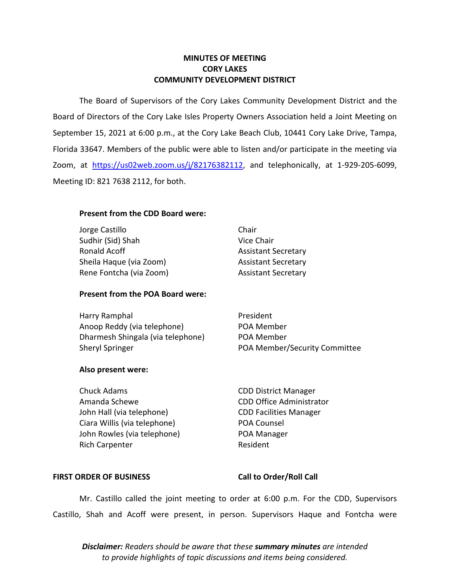## **MINUTES OF MEETING CORY LAKES COMMUNITY DEVELOPMENT DISTRICT**

 The Board of Supervisors of the Cory Lakes Community Development District and the September 15, 2021 at 6:00 p.m., at the Cory Lake Beach Club, 10441 Cory Lake Drive, Tampa, Florida 33647. Members of the public were able to listen and/or participate in the meeting via Board of Directors of the Cory Lake Isles Property Owners Association held a Joint Meeting on Zoom, at <https://us02web.zoom.us/j/8>[2176382112,](https://us02web.zoom.us/j/82176382112) and telephonically, at 1-929-205-6099, Meeting ID: 821 7638 2112, for both.

## **Present from the CDD Board were:**

| Chair                      |
|----------------------------|
| Vice Chair                 |
| <b>Assistant Secretary</b> |
| <b>Assistant Secretary</b> |
| <b>Assistant Secretary</b> |
|                            |

## **Present from the POA Board were:**

| Harry Ramphal                     | President                     |
|-----------------------------------|-------------------------------|
| Anoop Reddy (via telephone)       | POA Member                    |
| Dharmesh Shingala (via telephone) | POA Member                    |
| <b>Sheryl Springer</b>            | POA Member/Security Committee |

## **Also present were:**

Chuck Adams CDD District Manager Amanda Schewe CDD Office Administrator John Hall (via telephone) CDD Facilities Manager Ciara Willis (via telephone) POA Counsel John Rowles (via telephone) POA Manager Rich Carpenter **Rich Carpenter** Resident

## FIRST ORDER OF BUSINESS Call to Order/Roll Call

 Mr. Castillo called the joint meeting to order at 6:00 p.m. For the CDD, Supervisors Castillo, Shah and Acoff were present, in person. Supervisors Haque and Fontcha were

*Disclaimer: Readers should be aware that these summary minutes are intended to provide highlights of topic discussions and items being considered.*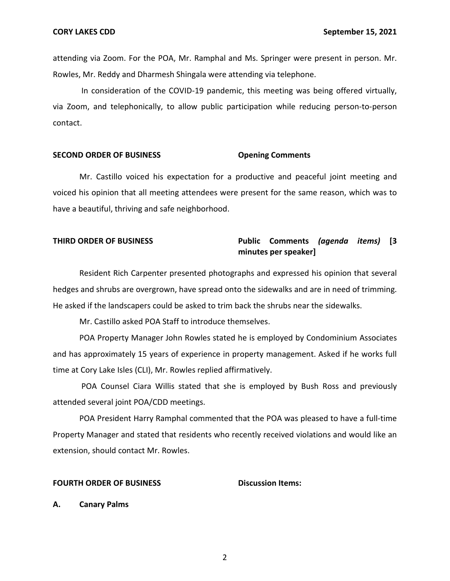attending via Zoom. For the POA, Mr. Ramphal and Ms. Springer were present in person. Mr. Rowles, Mr. Reddy and Dharmesh Shingala were attending via telephone.

 via Zoom, and telephonically, to allow public participation while reducing person-to-person In consideration of the COVID-19 pandemic, this meeting was being offered virtually, contact.

## **SECOND ORDER OF BUSINESS COMMENTS** Opening Comments

Mr. Castillo voiced his expectation for a productive and peaceful joint meeting and voiced his opinion that all meeting attendees were present for the same reason, which was to have a beautiful, thriving and safe neighborhood.

## **THIRD ORDER OF BUSINESS Public Comments** *(agenda items)* **[3 minutes per speaker]**

Resident Rich Carpenter presented photographs and expressed his opinion that several hedges and shrubs are overgrown, have spread onto the sidewalks and are in need of trimming. He asked if the landscapers could be asked to trim back the shrubs near the sidewalks.

Mr. Castillo asked POA Staff to introduce themselves.

POA Property Manager John Rowles stated he is employed by Condominium Associates and has approximately 15 years of experience in property management. Asked if he works full time at Cory Lake Isles (CLI), Mr. Rowles replied affirmatively.

POA Counsel Ciara Willis stated that she is employed by Bush Ross and previously attended several joint POA/CDD meetings.

POA President Harry Ramphal commented that the POA was pleased to have a full-time Property Manager and stated that residents who recently received violations and would like an extension, should contact Mr. Rowles.

#### **FOURTH ORDER OF BUSINESS Discussion Items:**

**A. Canary Palms**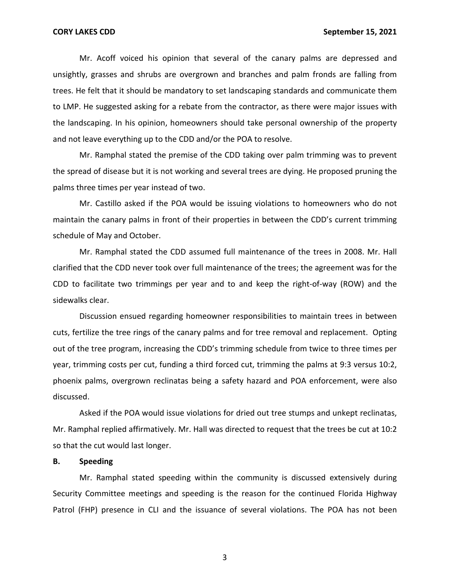Mr. Acoff voiced his opinion that several of the canary palms are depressed and unsightly, grasses and shrubs are overgrown and branches and palm fronds are falling from trees. He felt that it should be mandatory to set landscaping standards and communicate them to LMP. He suggested asking for a rebate from the contractor, as there were major issues with the landscaping. In his opinion, homeowners should take personal ownership of the property and not leave everything up to the CDD and/or the POA to resolve.

Mr. Ramphal stated the premise of the CDD taking over palm trimming was to prevent the spread of disease but it is not working and several trees are dying. He proposed pruning the palms three times per year instead of two.

Mr. Castillo asked if the POA would be issuing violations to homeowners who do not maintain the canary palms in front of their properties in between the CDD's current trimming schedule of May and October.

Mr. Ramphal stated the CDD assumed full maintenance of the trees in 2008. Mr. Hall clarified that the CDD never took over full maintenance of the trees; the agreement was for the CDD to facilitate two trimmings per year and to and keep the right-of-way (ROW) and the sidewalks clear.

Discussion ensued regarding homeowner responsibilities to maintain trees in between cuts, fertilize the tree rings of the canary palms and for tree removal and replacement. Opting out of the tree program, increasing the CDD's trimming schedule from twice to three times per year, trimming costs per cut, funding a third forced cut, trimming the palms at 9:3 versus 10:2, phoenix palms, overgrown reclinatas being a safety hazard and POA enforcement, were also discussed.

Asked if the POA would issue violations for dried out tree stumps and unkept reclinatas, Mr. Ramphal replied affirmatively. Mr. Hall was directed to request that the trees be cut at 10:2 so that the cut would last longer.

### **B. Speeding**

Mr. Ramphal stated speeding within the community is discussed extensively during Security Committee meetings and speeding is the reason for the continued Florida Highway Patrol (FHP) presence in CLI and the issuance of several violations. The POA has not been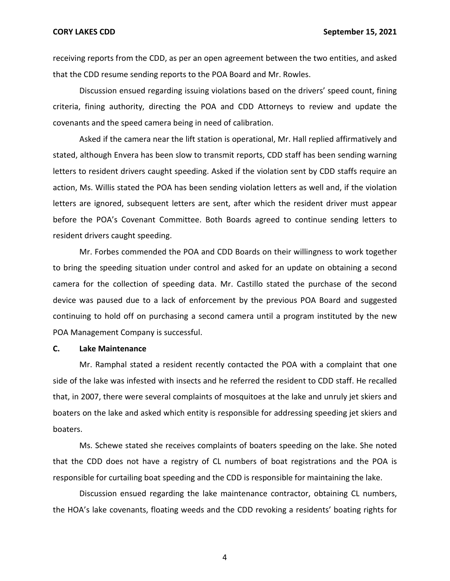receiving reports from the CDD, as per an open agreement between the two entities, and asked that the CDD resume sending reports to the POA Board and Mr. Rowles.

Discussion ensued regarding issuing violations based on the drivers' speed count, fining criteria, fining authority, directing the POA and CDD Attorneys to review and update the covenants and the speed camera being in need of calibration.

Asked if the camera near the lift station is operational, Mr. Hall replied affirmatively and stated, although Envera has been slow to transmit reports, CDD staff has been sending warning letters to resident drivers caught speeding. Asked if the violation sent by CDD staffs require an action, Ms. Willis stated the POA has been sending violation letters as well and, if the violation letters are ignored, subsequent letters are sent, after which the resident driver must appear before the POA's Covenant Committee. Both Boards agreed to continue sending letters to resident drivers caught speeding.

Mr. Forbes commended the POA and CDD Boards on their willingness to work together to bring the speeding situation under control and asked for an update on obtaining a second camera for the collection of speeding data. Mr. Castillo stated the purchase of the second device was paused due to a lack of enforcement by the previous POA Board and suggested continuing to hold off on purchasing a second camera until a program instituted by the new POA Management Company is successful.

#### **C. Lake Maintenance**

Mr. Ramphal stated a resident recently contacted the POA with a complaint that one side of the lake was infested with insects and he referred the resident to CDD staff. He recalled that, in 2007, there were several complaints of mosquitoes at the lake and unruly jet skiers and boaters on the lake and asked which entity is responsible for addressing speeding jet skiers and boaters.

Ms. Schewe stated she receives complaints of boaters speeding on the lake. She noted that the CDD does not have a registry of CL numbers of boat registrations and the POA is responsible for curtailing boat speeding and the CDD is responsible for maintaining the lake.

Discussion ensued regarding the lake maintenance contractor, obtaining CL numbers, the HOA's lake covenants, floating weeds and the CDD revoking a residents' boating rights for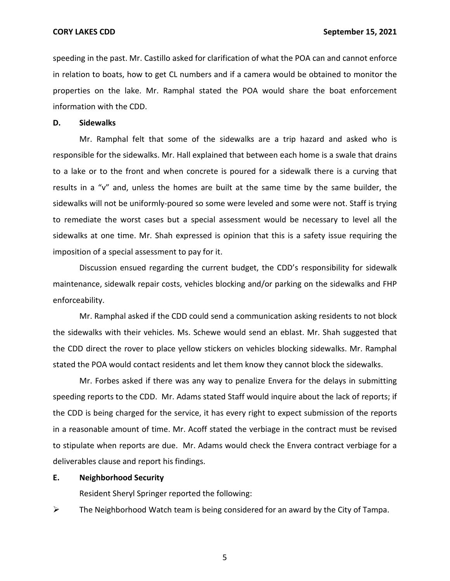speeding in the past. Mr. Castillo asked for clarification of what the POA can and cannot enforce in relation to boats, how to get CL numbers and if a camera would be obtained to monitor the properties on the lake. Mr. Ramphal stated the POA would share the boat enforcement information with the CDD.

### **D. Sidewalks**

Mr. Ramphal felt that some of the sidewalks are a trip hazard and asked who is responsible for the sidewalks. Mr. Hall explained that between each home is a swale that drains to a lake or to the front and when concrete is poured for a sidewalk there is a curving that results in a "v" and, unless the homes are built at the same time by the same builder, the sidewalks will not be uniformly-poured so some were leveled and some were not. Staff is trying to remediate the worst cases but a special assessment would be necessary to level all the sidewalks at one time. Mr. Shah expressed is opinion that this is a safety issue requiring the imposition of a special assessment to pay for it.

Discussion ensued regarding the current budget, the CDD's responsibility for sidewalk maintenance, sidewalk repair costs, vehicles blocking and/or parking on the sidewalks and FHP enforceability.

Mr. Ramphal asked if the CDD could send a communication asking residents to not block the sidewalks with their vehicles. Ms. Schewe would send an eblast. Mr. Shah suggested that the CDD direct the rover to place yellow stickers on vehicles blocking sidewalks. Mr. Ramphal stated the POA would contact residents and let them know they cannot block the sidewalks.

Mr. Forbes asked if there was any way to penalize Envera for the delays in submitting speeding reports to the CDD. Mr. Adams stated Staff would inquire about the lack of reports; if the CDD is being charged for the service, it has every right to expect submission of the reports in a reasonable amount of time. Mr. Acoff stated the verbiage in the contract must be revised to stipulate when reports are due. Mr. Adams would check the Envera contract verbiage for a deliverables clause and report his findings.

## **E. Neighborhood Security**

Resident Sheryl Springer reported the following:

 $\triangleright$  The Neighborhood Watch team is being considered for an award by the City of Tampa.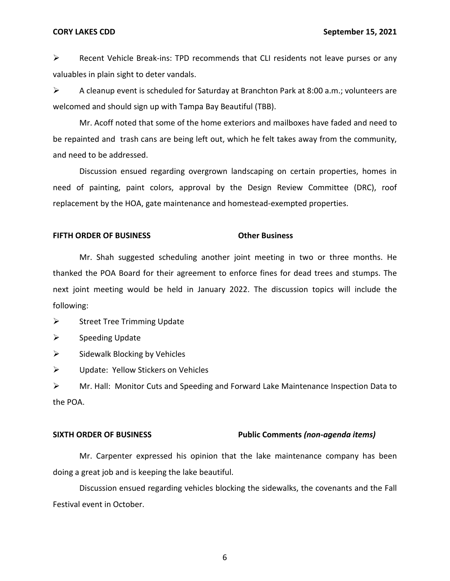➢ Recent Vehicle Break-ins: TPD recommends that CLI residents not leave purses or any valuables in plain sight to deter vandals.

 $\triangleright$  A cleanup event is scheduled for Saturday at Branchton Park at 8:00 a.m.; volunteers are welcomed and should sign up with Tampa Bay Beautiful (TBB).

Mr. Acoff noted that some of the home exteriors and mailboxes have faded and need to be repainted and trash cans are being left out, which he felt takes away from the community, and need to be addressed.

Discussion ensued regarding overgrown landscaping on certain properties, homes in need of painting, paint colors, approval by the Design Review Committee (DRC), roof replacement by the HOA, gate maintenance and homestead-exempted properties.

### **FIFTH ORDER OF BUSINESS CORPORATION COMPUTER ORDER OF BUSINESS**

Mr. Shah suggested scheduling another joint meeting in two or three months. He thanked the POA Board for their agreement to enforce fines for dead trees and stumps. The next joint meeting would be held in January 2022. The discussion topics will include the following:

 $\triangleright$  Street Tree Trimming Update

➢ Speeding Update

 $\triangleright$  Sidewalk Blocking by Vehicles

 $\triangleright$  Update: Yellow Stickers on Vehicles

➢ Mr. Hall: Monitor Cuts and Speeding and Forward Lake Maintenance Inspection Data to the POA.

### **SIXTH ORDER OF BUSINESS Public Comments** *(non-agenda items)*

Mr. Carpenter expressed his opinion that the lake maintenance company has been doing a great job and is keeping the lake beautiful.

Discussion ensued regarding vehicles blocking the sidewalks, the covenants and the Fall Festival event in October.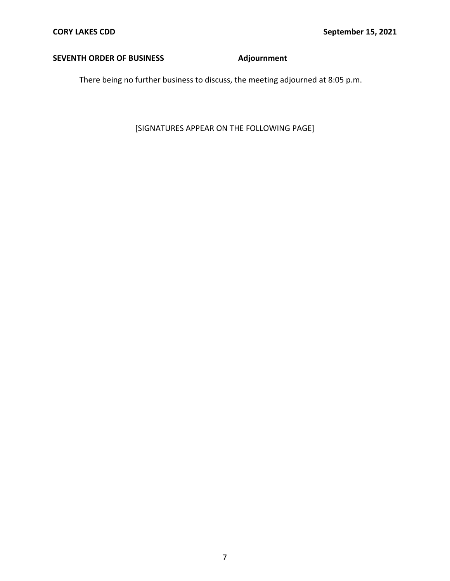# **SEVENTH ORDER OF BUSINESS Adjournment**

There being no further business to discuss, the meeting adjourned at 8:05 p.m.

[SIGNATURES APPEAR ON THE FOLLOWING PAGE]